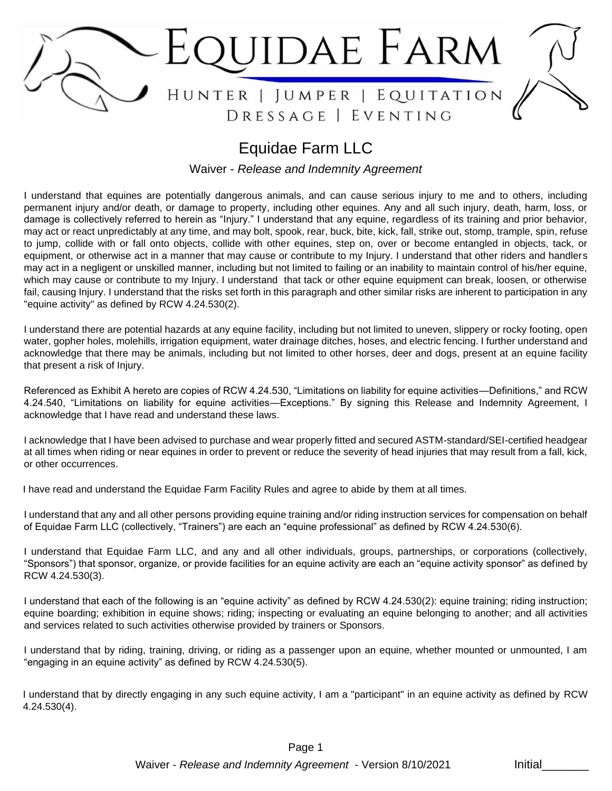

# Equidae Farm LLC

Waiver - *Release and Indemnity Agreement*

I understand that equines are potentially dangerous animals, and can cause serious injury to me and to others, including permanent injury and/or death, or damage to property, including other equines. Any and all such injury, death, harm, loss, or damage is collectively referred to herein as "Injury." I understand that any equine, regardless of its training and prior behavior, may act or react unpredictably at any time, and may bolt, spook, rear, buck, bite, kick, fall, strike out, stomp, trample, spin, refuse to jump, collide with or fall onto objects, collide with other equines, step on, over or become entangled in objects, tack, or equipment, or otherwise act in a manner that may cause or contribute to my Injury. I understand that other riders and handlers may act in a negligent or unskilled manner, including but not limited to failing or an inability to maintain control of his/her equine, which may cause or contribute to my Injury. I understand that tack or other equine equipment can break, loosen, or otherwise fail, causing Injury. I understand that the risks set forth in this paragraph and other similar risks are inherent to participation in any "equine activity" as defined by RCW 4.24.530(2).

I understand there are potential hazards at any equine facility, including but not limited to uneven, slippery or rocky footing, open water, gopher holes, molehills, irrigation equipment, water drainage ditches, hoses, and electric fencing. I further understand and acknowledge that there may be animals, including but not limited to other horses, deer and dogs, present at an equine facility that present a risk of Injury.

Referenced as Exhibit A hereto are copies of RCW 4.24.530, "Limitations on liability for equine activities—Definitions," and RCW 4.24.540, "Limitations on liability for equine activities—Exceptions." By signing this Release and Indemnity Agreement, I acknowledge that I have read and understand these laws.

I acknowledge that I have been advised to purchase and wear properly fitted and secured ASTM-standard/SEI-certified headgear at all times when riding or near equines in order to prevent or reduce the severity of head injuries that may result from a fall, kick, or other occurrences.

I have read and understand the Equidae Farm Facility Rules and agree to abide by them at all times.

I understand that any and all other persons providing equine training and/or riding instruction services for compensation on behalf of Equidae Farm LLC (collectively, "Trainers") are each an "equine professional" as defined by RCW 4.24.530(6).

I understand that Equidae Farm LLC, and any and all other individuals, groups, partnerships, or corporations (collectively, "Sponsors") that sponsor, organize, or provide facilities for an equine activity are each an "equine activity sponsor" as defined by RCW 4.24.530(3).

I understand that each of the following is an "equine activity" as defined by RCW 4.24.530(2): equine training; riding instruction; equine boarding; exhibition in equine shows; riding; inspecting or evaluating an equine belonging to another; and all activities and services related to such activities otherwise provided by trainers or Sponsors.

I understand that by riding, training, driving, or riding as a passenger upon an equine, whether mounted or unmounted, I am "engaging in an equine activity" as defined by RCW 4.24.530(5).

I understand that by directly engaging in any such equine activity, I am a "participant" in an equine activity as defined by RCW 4.24.530(4).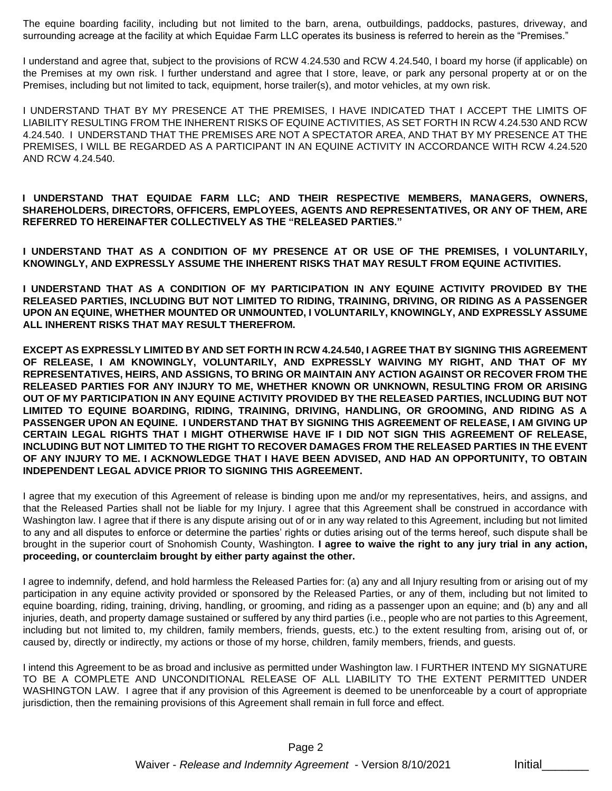The equine boarding facility, including but not limited to the barn, arena, outbuildings, paddocks, pastures, driveway, and surrounding acreage at the facility at which Equidae Farm LLC operates its business is referred to herein as the "Premises."

I understand and agree that, subject to the provisions of RCW 4.24.530 and RCW 4.24.540, I board my horse (if applicable) on the Premises at my own risk. I further understand and agree that I store, leave, or park any personal property at or on the Premises, including but not limited to tack, equipment, horse trailer(s), and motor vehicles, at my own risk.

I UNDERSTAND THAT BY MY PRESENCE AT THE PREMISES, I HAVE INDICATED THAT I ACCEPT THE LIMITS OF LIABILITY RESULTING FROM THE INHERENT RISKS OF EQUINE ACTIVITIES, AS SET FORTH IN RCW 4.24.530 AND RCW 4.24.540. I UNDERSTAND THAT THE PREMISES ARE NOT A SPECTATOR AREA, AND THAT BY MY PRESENCE AT THE PREMISES, I WILL BE REGARDED AS A PARTICIPANT IN AN EQUINE ACTIVITY IN ACCORDANCE WITH RCW 4.24.520 AND RCW 4.24.540.

**I UNDERSTAND THAT EQUIDAE FARM LLC; AND THEIR RESPECTIVE MEMBERS, MANAGERS, OWNERS, SHAREHOLDERS, DIRECTORS, OFFICERS, EMPLOYEES, AGENTS AND REPRESENTATIVES, OR ANY OF THEM, ARE REFERRED TO HEREINAFTER COLLECTIVELY AS THE "RELEASED PARTIES."**

**I UNDERSTAND THAT AS A CONDITION OF MY PRESENCE AT OR USE OF THE PREMISES, I VOLUNTARILY, KNOWINGLY, AND EXPRESSLY ASSUME THE INHERENT RISKS THAT MAY RESULT FROM EQUINE ACTIVITIES.**

**I UNDERSTAND THAT AS A CONDITION OF MY PARTICIPATION IN ANY EQUINE ACTIVITY PROVIDED BY THE RELEASED PARTIES, INCLUDING BUT NOT LIMITED TO RIDING, TRAINING, DRIVING, OR RIDING AS A PASSENGER UPON AN EQUINE, WHETHER MOUNTED OR UNMOUNTED, I VOLUNTARILY, KNOWINGLY, AND EXPRESSLY ASSUME ALL INHERENT RISKS THAT MAY RESULT THEREFROM.**

**EXCEPT AS EXPRESSLY LIMITED BY AND SET FORTH IN RCW 4.24.540, I AGREE THAT BY SIGNING THIS AGREEMENT OF RELEASE, I AM KNOWINGLY, VOLUNTARILY, AND EXPRESSLY WAIVING MY RIGHT, AND THAT OF MY REPRESENTATIVES, HEIRS, AND ASSIGNS, TO BRING OR MAINTAIN ANY ACTION AGAINST OR RECOVER FROM THE RELEASED PARTIES FOR ANY INJURY TO ME, WHETHER KNOWN OR UNKNOWN, RESULTING FROM OR ARISING OUT OF MY PARTICIPATION IN ANY EQUINE ACTIVITY PROVIDED BY THE RELEASED PARTIES, INCLUDING BUT NOT LIMITED TO EQUINE BOARDING, RIDING, TRAINING, DRIVING, HANDLING, OR GROOMING, AND RIDING AS A PASSENGER UPON AN EQUINE. I UNDERSTAND THAT BY SIGNING THIS AGREEMENT OF RELEASE, I AM GIVING UP CERTAIN LEGAL RIGHTS THAT I MIGHT OTHERWISE HAVE IF I DID NOT SIGN THIS AGREEMENT OF RELEASE, INCLUDING BUT NOT LIMITED TO THE RIGHT TO RECOVER DAMAGES FROM THE RELEASED PARTIES IN THE EVENT OF ANY INJURY TO ME. I ACKNOWLEDGE THAT I HAVE BEEN ADVISED, AND HAD AN OPPORTUNITY, TO OBTAIN INDEPENDENT LEGAL ADVICE PRIOR TO SIGNING THIS AGREEMENT.**

I agree that my execution of this Agreement of release is binding upon me and/or my representatives, heirs, and assigns, and that the Released Parties shall not be liable for my Injury. I agree that this Agreement shall be construed in accordance with Washington law. I agree that if there is any dispute arising out of or in any way related to this Agreement, including but not limited to any and all disputes to enforce or determine the parties' rights or duties arising out of the terms hereof, such dispute shall be brought in the superior court of Snohomish County, Washington. **I agree to waive the right to any jury trial in any action, proceeding, or counterclaim brought by either party against the other.**

I agree to indemnify, defend, and hold harmless the Released Parties for: (a) any and all Injury resulting from or arising out of my participation in any equine activity provided or sponsored by the Released Parties, or any of them, including but not limited to equine boarding, riding, training, driving, handling, or grooming, and riding as a passenger upon an equine; and (b) any and all injuries, death, and property damage sustained or suffered by any third parties (i.e., people who are not parties to this Agreement, including but not limited to, my children, family members, friends, guests, etc.) to the extent resulting from, arising out of, or caused by, directly or indirectly, my actions or those of my horse, children, family members, friends, and guests.

I intend this Agreement to be as broad and inclusive as permitted under Washington law. I FURTHER INTEND MY SIGNATURE TO BE A COMPLETE AND UNCONDITIONAL RELEASE OF ALL LIABILITY TO THE EXTENT PERMITTED UNDER WASHINGTON LAW. I agree that if any provision of this Agreement is deemed to be unenforceable by a court of appropriate jurisdiction, then the remaining provisions of this Agreement shall remain in full force and effect.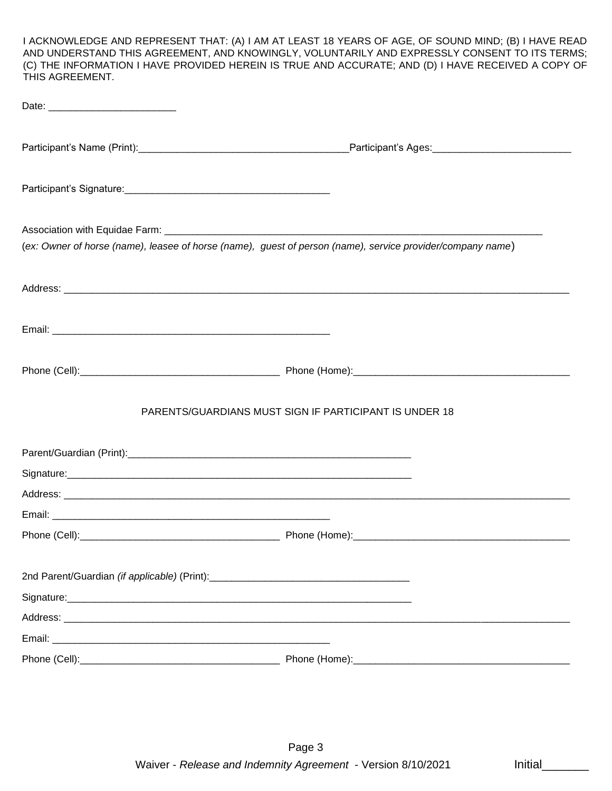I ACKNOWLEDGE AND REPRESENT THAT: (A) I AM AT LEAST 18 YEARS OF AGE, OF SOUND MIND; (B) I HAVE READ AND UNDERSTAND THIS AGREEMENT, AND KNOWINGLY, VOLUNTARILY AND EXPRESSLY CONSENT TO ITS TERMS; (C) THE INFORMATION I HAVE PROVIDED HEREIN IS TRUE AND ACCURATE; AND (D) I HAVE RECEIVED A COPY OF THIS AGREEMENT.

| (ex: Owner of horse (name), leasee of horse (name), guest of person (name), service provider/company name) |  |
|------------------------------------------------------------------------------------------------------------|--|
|                                                                                                            |  |
|                                                                                                            |  |
|                                                                                                            |  |
|                                                                                                            |  |
| PARENTS/GUARDIANS MUST SIGN IF PARTICIPANT IS UNDER 18                                                     |  |
|                                                                                                            |  |
|                                                                                                            |  |
|                                                                                                            |  |
|                                                                                                            |  |
|                                                                                                            |  |
| 2nd Parent/Guardian (if applicable) (Print): ___________________________________                           |  |
|                                                                                                            |  |
|                                                                                                            |  |
|                                                                                                            |  |
|                                                                                                            |  |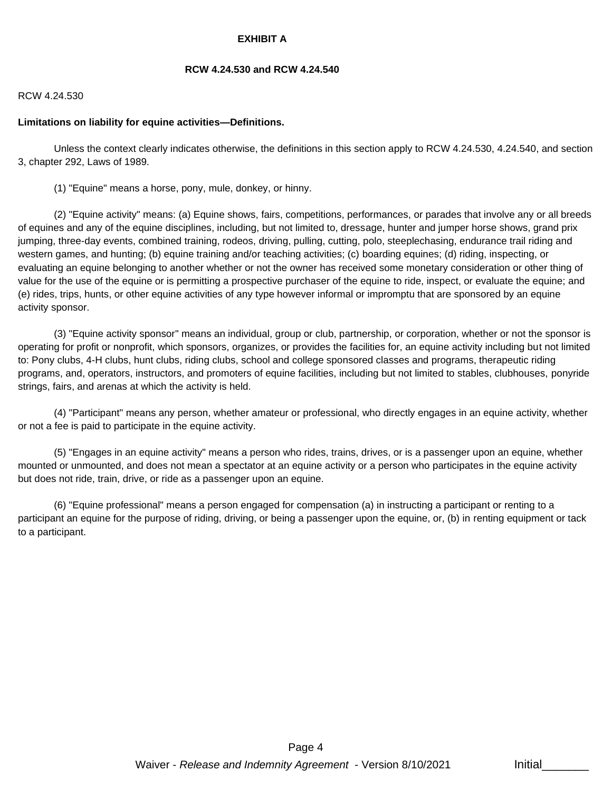## **EXHIBIT A**

#### **RCW 4.24.530 and RCW 4.24.540**

#### RCW 4.24.530

#### **Limitations on liability for equine activities—Definitions.**

 Unless the context clearly indicates otherwise, the definitions in this section apply to RCW 4.24.530, 4.24.540, and section 3, chapter 292, Laws of 1989.

(1) "Equine" means a horse, pony, mule, donkey, or hinny.

 (2) "Equine activity" means: (a) Equine shows, fairs, competitions, performances, or parades that involve any or all breeds of equines and any of the equine disciplines, including, but not limited to, dressage, hunter and jumper horse shows, grand prix jumping, three-day events, combined training, rodeos, driving, pulling, cutting, polo, steeplechasing, endurance trail riding and western games, and hunting; (b) equine training and/or teaching activities; (c) boarding equines; (d) riding, inspecting, or evaluating an equine belonging to another whether or not the owner has received some monetary consideration or other thing of value for the use of the equine or is permitting a prospective purchaser of the equine to ride, inspect, or evaluate the equine; and (e) rides, trips, hunts, or other equine activities of any type however informal or impromptu that are sponsored by an equine activity sponsor.

 (3) "Equine activity sponsor" means an individual, group or club, partnership, or corporation, whether or not the sponsor is operating for profit or nonprofit, which sponsors, organizes, or provides the facilities for, an equine activity including but not limited to: Pony clubs, 4-H clubs, hunt clubs, riding clubs, school and college sponsored classes and programs, therapeutic riding programs, and, operators, instructors, and promoters of equine facilities, including but not limited to stables, clubhouses, ponyride strings, fairs, and arenas at which the activity is held.

 (4) "Participant" means any person, whether amateur or professional, who directly engages in an equine activity, whether or not a fee is paid to participate in the equine activity.

 (5) "Engages in an equine activity" means a person who rides, trains, drives, or is a passenger upon an equine, whether mounted or unmounted, and does not mean a spectator at an equine activity or a person who participates in the equine activity but does not ride, train, drive, or ride as a passenger upon an equine.

 (6) "Equine professional" means a person engaged for compensation (a) in instructing a participant or renting to a participant an equine for the purpose of riding, driving, or being a passenger upon the equine, or, (b) in renting equipment or tack to a participant.